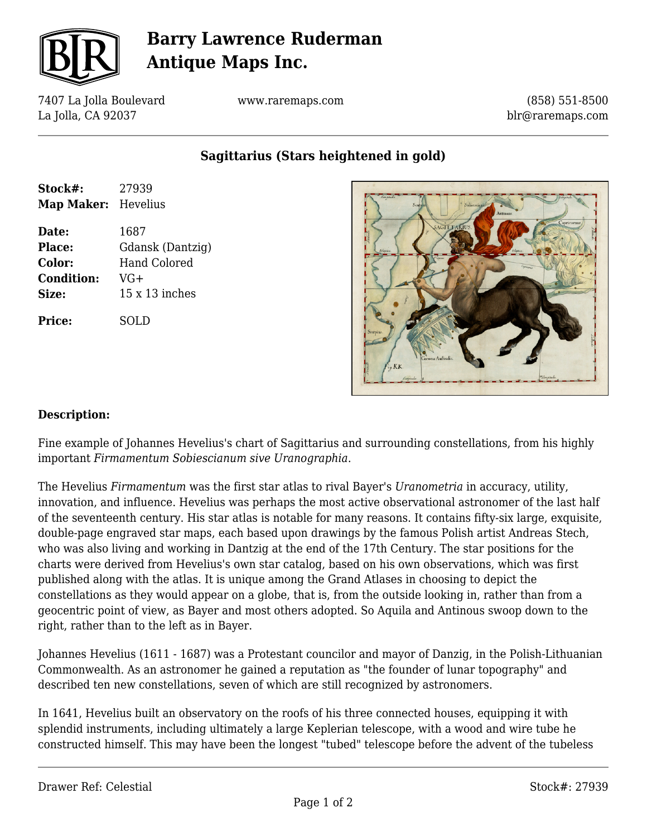

# **Barry Lawrence Ruderman Antique Maps Inc.**

7407 La Jolla Boulevard La Jolla, CA 92037

www.raremaps.com

(858) 551-8500 blr@raremaps.com

**Sagittarius (Stars heightened in gold)**

| Stock#:<br>Map Maker: | 27939<br>Hevelius     |
|-----------------------|-----------------------|
| Date:                 | 1687                  |
| Place:                | Gdansk (Dantzig)      |
| Color:                | <b>Hand Colored</b>   |
| <b>Condition:</b>     | $VG+$                 |
| Size:                 | $15 \times 13$ inches |
| <b>Price:</b>         | SOLD                  |



### **Description:**

Fine example of Johannes Hevelius's chart of Sagittarius and surrounding constellations, from his highly important *Firmamentum Sobiescianum sive Uranographia*.

The Hevelius *Firmamentum* was the first star atlas to rival Bayer's *Uranometria* in accuracy, utility, innovation, and influence. Hevelius was perhaps the most active observational astronomer of the last half of the seventeenth century. His star atlas is notable for many reasons. It contains fifty-six large, exquisite, double-page engraved star maps, each based upon drawings by the famous Polish artist Andreas Stech, who was also living and working in Dantzig at the end of the 17th Century. The star positions for the charts were derived from Hevelius's own star catalog, based on his own observations, which was first published along with the atlas. It is unique among the Grand Atlases in choosing to depict the constellations as they would appear on a globe, that is, from the outside looking in, rather than from a geocentric point of view, as Bayer and most others adopted. So Aquila and Antinous swoop down to the right, rather than to the left as in Bayer.

Johannes Hevelius (1611 - 1687) was a Protestant councilor and mayor of Danzig, in the Polish-Lithuanian Commonwealth. As an astronomer he gained a reputation as "the founder of lunar topography" and described ten new constellations, seven of which are still recognized by astronomers.

In 1641, Hevelius built an observatory on the roofs of his three connected houses, equipping it with splendid instruments, including ultimately a large Keplerian telescope, with a wood and wire tube he constructed himself. This may have been the longest "tubed" telescope before the advent of the tubeless